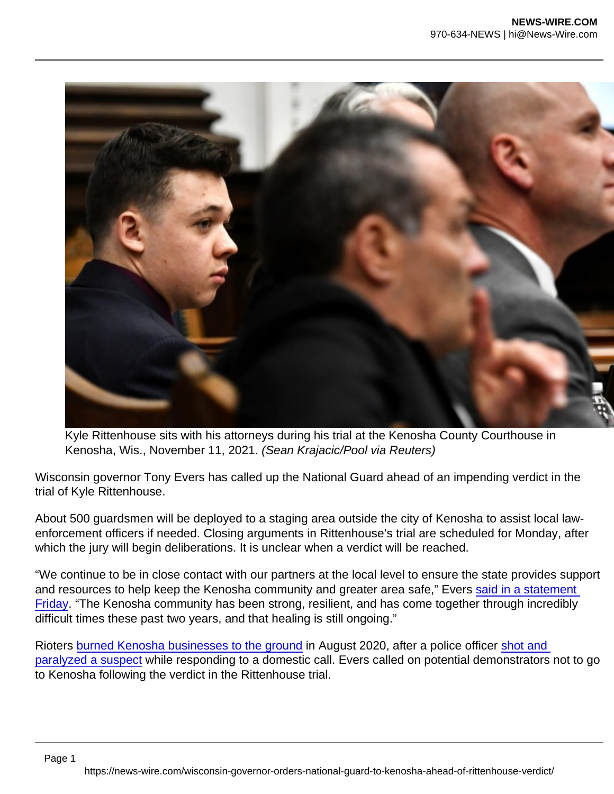Kyle Rittenhouse sits with his attorneys during his trial at the Kenosha County Courthouse in Kenosha, Wis., November 11, 2021. (Sean Krajacic/Pool via Reuters)

Wisconsin governor Tony Evers has called up the National Guard ahead of an impending verdict in the trial of Kyle Rittenhouse.

About 500 guardsmen will be deployed to a staging area outside the city of Kenosha to assist local lawenforcement officers if needed. Closing arguments in Rittenhouse's trial are scheduled for Monday, after which the jury will begin deliberations. It is unclear when a verdict will be reached.

"We continue to be in close contact with our partners at the local level to ensure the state provides support and resources to help keep the Kenosha community and greater area safe," Evers [said in a statement](https://content.govdelivery.com/accounts/WIGOV/bulletins/2fbfb2e)  [Friday](https://content.govdelivery.com/accounts/WIGOV/bulletins/2fbfb2e). "The Kenosha community has been strong, resilient, and has come together through incredibly difficult times these past two years, and that healing is still ongoing."

Rioters [burned Kenosha businesses to the ground](https://www.nationalreview.com/news/why-do-we-deserve-it-locals-in-kenosha-attempt-to-clean-wreckage-after-night-of-riots/) in August 2020, after a police officer [shot and](https://www.nationalreview.com/news/no-charges-against-wisconsin-officer-who-shot-jacob-blake-prosecutor-says/)  [paralyzed a suspect](https://www.nationalreview.com/news/no-charges-against-wisconsin-officer-who-shot-jacob-blake-prosecutor-says/) while responding to a domestic call. Evers called on potential demonstrators not to go to Kenosha following the verdict in the Rittenhouse trial.